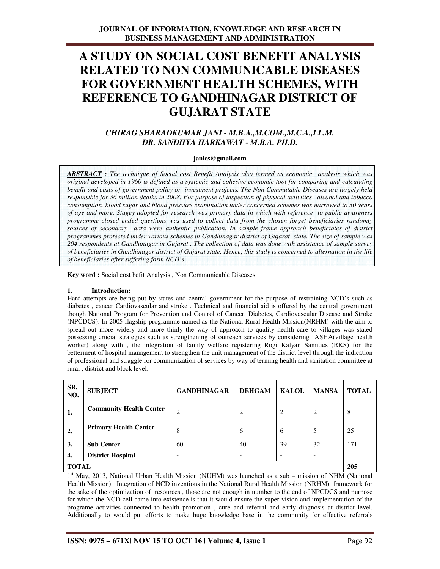# **A STUDY ON SOCIAL COST BENEFIT ANALYSIS RELATED TO NON COMMUNICABLE DISEASES FOR GOVERNMENT HEALTH SCHEMES, WITH REFERENCE TO GANDHINAGAR DISTRICT OF GUJARAT STATE**

# *CHIRAG SHARADKUMAR JANI - M.B.A.,M.COM.,M.C.A.,LL.M. DR. SANDHYA HARKAWAT - M.B.A. PH.D.*

## **janics@gmail.com**

*ABSTRACT : The technique of Social cost Benefit Analysis also termed as economic analysis which was original developed in 1960 is defined as a systemic and cohesive economic tool for comparing and calculating benefit and costs of government policy or investment projects. The Non Commutable Diseases are largely held responsible for 36 million deaths in 2008. For purpose of inspection of physical activities , alcohol and tobacco consumption, blood sugar and blood pressure examination under concerned schemes was narrowed to 30 years of age and more. Stagey adopted for research was primary data in which with reference to public awareness programme closed ended questions was used to collect data from the chosen forget beneficiaries randomly sources of secondary data were authentic publication. In sample frame approach beneficiates of district programmes protected under various schemes in Gandhinagar district of Gujarat state. The size of sample was 204 respondents at Gandhinagar in Gujarat . The collection of data was done with assistance of sample survey of beneficiaries in Gandhinagar district of Gujarat state. Hence, this study is concerned to alternation in the life of beneficiaries after suffering form NCD's*.

**Key word :** Social cost befit Analysis , Non Communicable Diseases

## **1. Introduction:**

Hard attempts are being put by states and central government for the purpose of restraining NCD's such as diabetes , cancer Cardiovascular and stroke . Technical and financial aid is offered by the central government though National Program for Prevention and Control of Cancer, Diabetes, Cardiovascular Disease and Stroke (NPCDCS). In 2005 flagship programme named as the National Rural Health Mission(NRHM) with the aim to spread out more widely and more thinly the way of approach to quality health care to villages was stated possessing crucial strategies such as strengthening of outreach services by considering ASHA(village health worker) along with , the integration of family welfare registering Rogi Kalyan Samities (RKS) for the betterment of hospital management to strengthen the unit management of the district level through the indication of professional and straggle for communization of services by way of terming health and sanitation committee at rural , district and block level.

| SR.<br>NO.                                            | <b>SUBJECT</b>                 | <b>GANDHINAGAR</b> | <b>DEHGAM</b>  | <b>KALOL</b>  | <b>MANSA</b> | <b>TOTAL</b> |
|-------------------------------------------------------|--------------------------------|--------------------|----------------|---------------|--------------|--------------|
| 1.                                                    | <b>Community Health Center</b> | 2                  | $\overline{c}$ | 2             | 2            | 8            |
| 2.                                                    | <b>Primary Health Center</b>   | 8                  | 6              | $\mathfrak b$ | 5            | 25           |
| 3.                                                    | <b>Sub Center</b>              | 60                 | 40             | 39            | 32           | 171          |
| 4.                                                    | <b>District Hospital</b>       | ۰                  |                |               |              |              |
| <b>TOTAL</b><br>$\cdot$ of $-$<br>.<br>__ _ _ _ _ _ _ |                                |                    |                | 205           |              |              |

1<sup>st</sup> May, 2013, National Urban Health Mission (NUHM) was launched as a sub – mission of NHM (National Health Mission). Integration of NCD inventions in the National Rural Health Mission (NRHM) framework for the sake of the optimization of resources , those are not enough in number to the end of NPCDCS and purpose for which the NCD cell came into existence is that it would ensure the super vision and implementation of the programe activities connected to health promotion , cure and referral and early diagnosis at district level. Additionally to would put efforts to make huge knowledge base in the community for effective referrals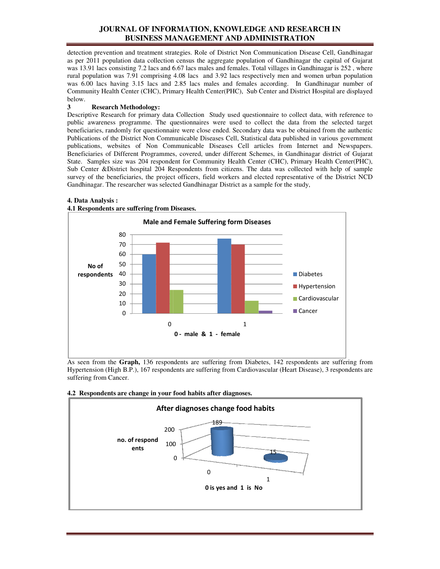# **JOURNAL OF INFORMATION, KNOWLEDGE AND RESEARCH IN BUSINESS MANAGEMENT AND ADMINISTRATION**

detection prevention and treatment strategies. Role of District Non Communication Disease Cell, Gandhinagar as per 2011 population data collection census the aggregate population of Gandhinagar the capital of Gujarat was 13.91 lacs consisting 7.2 lacs and 6.67 lacs males and females. Total villages in Gandhinagar is 252, where rural population was 7.91 comprising 4.08 lacs and 3.92 lacs respectively men and women urban population as per 2011 population data collection census the aggregate population of Gandhinagar the capital of Gujarat was 13.91 lacs consisting 7.2 lacs and 6.67 lacs males and females. Total villages in Gandhinagar is 252, where r Community Health Center (CHC), Primary Health Center(PHC), Sub Center and District Hospital are displayed below. as per 2011 population data collection census the aggregate population of Gandhinagar the capital of Gujarat was 13.91 lacs consisting 7.2 lacs and 6.67 lacs males and females. Total villages in Gandhinagar is 252, where r

# **3 Research Methodology:**

Descriptive Research for primary data Collection Study used questionnaire to collect data, with reference to public awareness programme. The questionnaires were used to collect the data from the selected target public awareness programme. The questionnaires were used to collect the data from the beneficiaries, randomly for questionnaire were close ended. Secondary data was be obtained fro Publications of the District Non Communicable Diseases Cell, Statistical data published in various government publications, websites of Non Communicable Diseases Cell articles from Internet and Newspapers. Beneficiaries of Different Programmes, covered, under different Schemes, in Gandhinagar district of Gujarat State. Samples size was 204 respondent for Community Health Center (CHC), Primary Health Center(PHC), Sub Center &District hospital 204 Respondents from citizens. The data was collected with help of sample survey of the beneficiaries, the project officers, field workers and elected representative of the District NCD Gandhinagar. The researcher was selected Gandhinagar District as a sample for the study, is of Different Programmes, covered, under different Schemes, in Gandhina<br>les size was 204 respondent for Community Health Center (CHC), Primary<br>&District hospital 204 Respondents from citizens. The data was collected<br>e be State. Samples size was 204 respondent for Community Health Center (CHC), Primary Health Center(PHC), Sub Center & District hospital 204 Respondents from citizens. The data was collected with help of sample survey of the b



### **4. Data Analysis :**

As seen from the **Graph,** 136 respondents are suffering from Diabetes, 142 respondents are suffering from Hypertension (High B.P.), 167 respondents are suffering from Cardiovascular (Heart Disease), 3 respondents are suffering from Cancer.

## **4.2 Respondents are change in your food habits after diagnoses.**

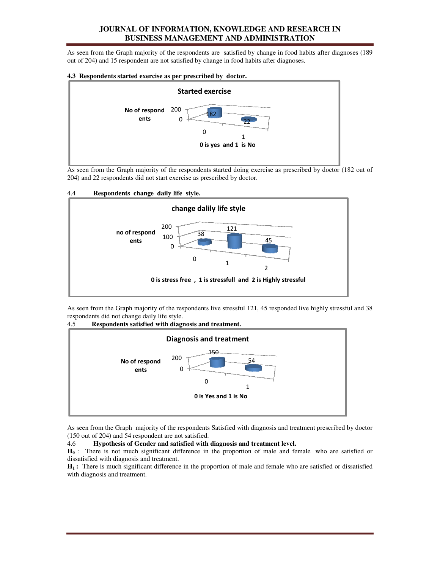# **JOURNAL OF INFORMATION, KNOWLEDGE AND RESEARCH IN BUSINESS MANAGEMENT AND ADMINISTRATION**

As seen from the Graph majority of the respondents are satisfied by change in food habits after diagnoses (189 out of 204) and 15 respondent are not satisfied by change in food habits after diagnoses.

### **4.3 Respondents started exercise as per prescribed by doctor.**



As seen from the Graph majority of the respondents **s**tarted doing exercise as prescribed by doctor 204) and 22 respondents did not start exercise as prescribed by doctor.





As seen from the Graph majority of the respondents live stressful 121, 45 responded live highly stressful and 38 respondents did not change daily life style.



4.5 Respondents satisfied with diagnosis and treatment.

As seen from the Graph majority of the respondents Satisfied with diagnosis and treatment prescribed by doctor (150 out of 204) and 54 respondent are not satisfied.

#### 4.6 **Hypothesis of Gender and satisfied with diagnosis and treatment level. satisfied and**

 $H_0$ : There is not much significant difference in the proportion of male and female who are satisfied or dissatisfied with diagnosis and treatment.  $H_0$ : There is not much significant difference in the proportion of male and female who are satisfied or dissatisfied with diagnosis and treatment.<br> $H_1$ : There is much significant difference in the proportion of male an

with diagnosis and treatment.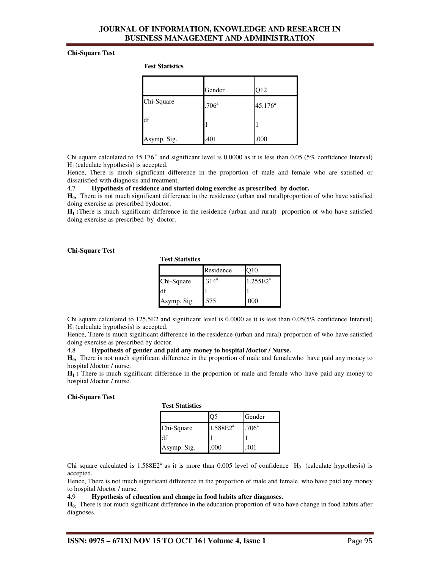# **JOURNAL OF INFORMATION, KNOWLEDGE AND RESEARCH IN BUSINESS MANAGEMENT AND ADMINISTRATION**

#### **Chi-Square Test**

**Test Statistics**

|             | Gender            | Q12              |
|-------------|-------------------|------------------|
| Chi-Square  | .706 <sup>a</sup> | $45.176^{\circ}$ |
| df          |                   |                  |
| Asymp. Sig. | .401              | .000             |

Chi square calculated to  $45.176^{\degree}$  and significant level is 0.0000 as it is less than 0.05 (5% confidence Interval)  $H<sub>1</sub>$  (calculate hypothesis) is accepted.

Hence, There is much significant difference in the proportion of male and female who are satisfied or dissatisfied with diagnosis and treatment.

# 4.7 **Hypothesis of residence and started doing exercise as prescribed by doctor.**

**H0:** There is not much significant difference in the residence (urban and rural)proportion of who have satisfied doing exercise as prescribed bydoctor.

**H1 :**There is much significant difference in the residence (urban and rural) proportion of who have satisfied doing exercise as prescribed by doctor.

#### **Chi-Square Test**

**Test Statistics**

|             | Residence | O10         |
|-------------|-----------|-------------|
| Chi-Square  | $.314^a$  | $1.255E2^a$ |
| df          |           |             |
| Asymp. Sig. | .575      | .000        |

Chi square calculated to 125.5E2 and significant level is 0.0000 as it is less than 0.05(5% confidence Interval)  $H<sub>1</sub>$  (calculate hypothesis) is accepted.

Hence, There is much significant difference in the residence (urban and rural) proportion of who have satisfied doing exercise as prescribed by doctor.

4.8 **Hypothesis of gender and paid any money to hospital /doctor / Nurse.**

**H0:** There is not much significant difference in the proportion of male and femalewho have paid any money to hospital /doctor / nurse.

**H1 :** There is much significant difference in the proportion of male and female who have paid any money to hospital /doctor / nurse.

#### **Chi-Square Test**

| <b>Test Statistics</b> |  |
|------------------------|--|
|------------------------|--|

|             | رر            | Gender            |
|-------------|---------------|-------------------|
| Chi-Square  | $1.588E2^{a}$ | .706 <sup>a</sup> |
| đf          |               |                   |
| Asymp. Sig. | .000          | 401               |

Chi square calculated is  $1.588E2^a$  as it is more than 0.005 level of confidence  $H_0$  (calculate hypothesis) is accepted.

Hence, There is not much significant difference in the proportion of male and female who have paid any money to hospital /doctor / nurse.

#### 4.9 **Hypothesis of education and change in food habits after diagnoses.**

**H0:** There is not much significant difference in the education proportion of who have change in food habits after diagnoses.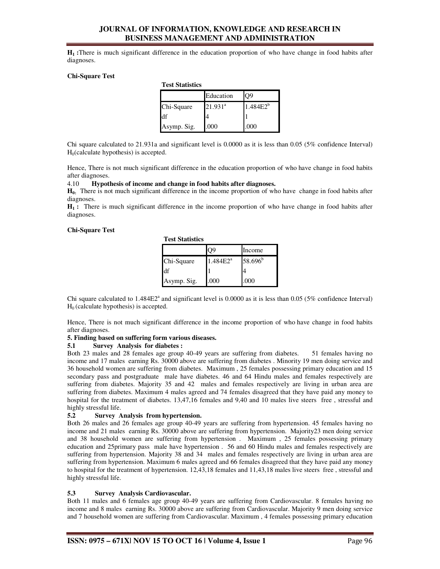# **JOURNAL OF INFORMATION, KNOWLEDGE AND RESEARCH IN BUSINESS MANAGEMENT AND ADMINISTRATION**

**H1 :**There is much significant difference in the education proportion of who have change in food habits after diagnoses.

#### **Chi-Square Test**

| I ESL OLALISHUS |            |               |  |
|-----------------|------------|---------------|--|
|                 | Education  | Э9            |  |
| Chi-Square      | $21.931^a$ | $1.484E2^{b}$ |  |
| df              |            |               |  |
| Asymp. Sig.     | .000       | 000           |  |

Chi square calculated to 21.931a and significant level is 0.0000 as it is less than 0.05 (5% confidence Interval)  $H<sub>0</sub>(calculated hypothesis)$  is accepted.

Hence, There is not much significant difference in the education proportion of who have change in food habits after diagnoses.

#### 4.10 **Hypothesis of income and change in food habits after diagnoses.**

**Test Statistics**

**H0:** There is not much significant difference in the income proportion of who have change in food habits after diagnoses.

**H1 :** There is much significant difference in the income proportion of who have change in food habits after diagnoses.

#### **Chi-Square Test**

|  | <b>Test Statistics</b> |
|--|------------------------|
|--|------------------------|

|             | 99          | Income     |
|-------------|-------------|------------|
| Chi-Square  | $1.484E2^a$ | $58.696^b$ |
| df          |             |            |
| Asymp. Sig. | .000        | .000       |

Chi square calculated to  $1.484E2^a$  and significant level is 0.0000 as it is less than 0.05 (5% confidence Interval)  $H<sub>0</sub>$  (calculate hypothesis) is accepted.

Hence, There is not much significant difference in the income proportion of who have change in food habits after diagnoses.

#### **5. Finding based on suffering form various diseases.**

#### **5.1 Survey Analysis for diabetes :**

Both 23 males and 28 females age group 40-49 years are suffering from diabetes. 51 females having no income and 17 males earning Rs. 30000 above are suffering from diabetes . Minority 19 men doing service and 36 household women are suffering from diabetes. Maximum , 25 females possessing primary education and 15 secondary pass and postgraduate male have diabetes. 46 and 64 Hindu males and females respectively are suffering from diabetes. Majority 35 and 42 males and females respectively are living in urban area are suffering from diabetes. Maximum 4 males agreed and 74 females disagreed that they have paid any money to hospital for the treatment of diabetes. 13,47,16 females and 9,40 and 10 males live steers free, stressful and highly stressful life.

### **5.2 Survey Analysis from hypertension.**

Both 26 males and 26 females age group 40-49 years are suffering from hypertension. 45 females having no income and 21 males earning Rs. 30000 above are suffering from hypertension. Majority23 men doing service and 38 household women are suffering from hypertension . Maximum , 25 females possessing primary education and 25primary pass male have hypertension . 56 and 60 Hindu males and females respectively are suffering from hypertension. Majority 38 and 34 males and females respectively are living in urban area are suffering from hypertension. Maximum 6 males agreed and 66 females disagreed that they have paid any money to hospital for the treatment of hypertension. 12,43,18 females and 11,43,18 males live steers free , stressful and highly stressful life.

#### **5.3 Survey Analysis Cardiovascular.**

Both 11 males and 6 females age group 40-49 years are suffering from Cardiovascular. 8 females having no income and 8 males earning Rs. 30000 above are suffering from Cardiovascular. Majority 9 men doing service and 7 household women are suffering from Cardiovascular. Maximum , 4 females possessing primary education